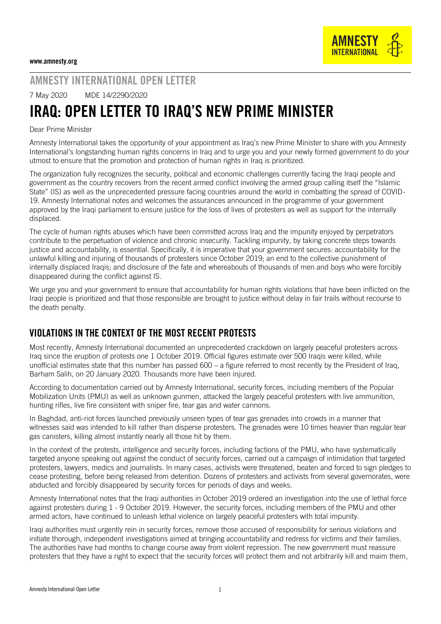## AMNESTY INTERNATIONAL OPEN LETTER

7 May 2020 MDE 14/2290/2020

# IRAQ: OPEN LETTER TO IRAQ'S NEW PRIME MINISTER

#### Dear Prime Minister

Amnesty International takes the opportunity of your appointment as Iraq's new Prime Minister to share with you Amnesty International's longstanding human rights concerns in Iraq and to urge you and your newly formed government to do your utmost to ensure that the promotion and protection of human rights in Iraq is prioritized.

The organization fully recognizes the security, political and economic challenges currently facing the Iraqi people and government as the country recovers from the recent armed conflict involving the armed group calling itself the "Islamic State" (IS) as well as the unprecedented pressure facing countries around the world in combatting the spread of COVID-19. Amnesty International notes and welcomes the assurances announced in the programme of your government approved by the Iraqi parliament to ensure justice for the loss of lives of protesters as well as support for the internally displaced.

The cycle of human rights abuses which have been committed across Iraq and the impunity enjoyed by perpetrators contribute to the perpetuation of violence and chronic insecurity. Tackling impunity, by taking concrete steps towards justice and accountability, is essential. Specifically, it is imperative that your government secures: accountability for the unlawful killing and injuring of thousands of protesters since October 2019; an end to the collective punishment of internally displaced Iraqis; and disclosure of the fate and whereabouts of thousands of men and boys who were forcibly disappeared during the conflict against IS.

We urge you and your government to ensure that accountability for human rights violations that have been inflicted on the Iraqi people is prioritized and that those responsible are brought to justice without delay in fair trails without recourse to the death penalty.

### VIOLATIONS IN THE CONTEXT OF THE MOST RECENT PROTESTS

Most recently, Amnesty International documented an [unprecedented crackdown](https://www.amnesty.org/en/latest/news/2019/11/iraq-eyewitness-describes-street-filled-with-blood-as-at-least-25-protesters-killed-in-security-force-onslaught/) on largely peaceful protesters across Iraq since the eruption of protests one 1 October 2019. Official figures estimate over 500 Iraqis were killed, while unofficial estimates state that this number has passed 600 – a figure referred to most recently by the President of Iraq, Barham Salih, on 20 January 2020. Thousands more have been injured.

According to documentation carried out by Amnesty International, security forces, including members of the Popular Mobilization Units (PMU) as well as unknown gunmen, attacked the largely peaceful protesters with live ammunition, [hunting rifles,](https://www.amnesty.org/en/documents/mde14/6610/2017/en/) [live fire consistent with sniper fire,](https://www.amnesty.org/en/latest/news/2019/10/iraq-deadly-sniper-attacks-and-intimidation-as-protesters-face-intensifying-crackdown/) tear gas and water cannons.

In Baghdad, anti-riot forces launched [previously unseen types of tear gas grenades](https://www.amnesty.org/en/latest/news/2019/10/iraq-gruesome-string-of-fatalities-as-new-tear-gas-grenades-pierce-protesters-skulls/) into crowds in a manner that witnesses said was intended to kill rather than disperse protesters. The grenades were 10 times heavier than regular tear gas canisters, killing almost instantly nearly all those hit by them.

In the context of the protests, intelligence and security forces, including factions of the PMU, who have systematically [targeted](https://www.amnesty.org/en/latest/news/2019/12/iraq-end-campaign-of-terror-targeting-protesters/) anyone speaking out against the conduct of security forces, carried out a campaign of intimidation that targeted protesters, lawyers, medics and journalists. In many cases, activists were threatened, beaten and forced to sign pledges to cease protesting, before being released from detention. Dozens of protesters and activists from several governorates, were abducted and forcibly disappeared by security forces for periods of days and weeks.

Amnesty International notes that the Iraqi authorities in October 2019 ordered an investigation into the use of lethal force against protesters during 1 - 9 October 2019. However, the security forces, including members of the PMU and other armed actors, have continued to unleash lethal violence on largely peaceful protesters with total impunity.

Iraqi authorities must urgently rein in security forces, remove those accused of responsibility for serious violations and initiate thorough, independent investigations aimed at bringing accountability and redress for victims and their families. The authorities have had months to change course away from violent repression. The new government must reassure protesters that they have a right to expect that the security forces will protect them and not arbitrarily kill and maim them,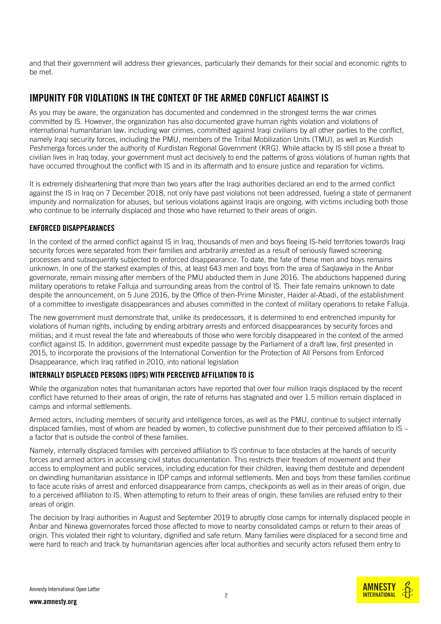and that their government will address their grievances, particularly their demands for their social and economic rights to be met.

#### IMPUNITY FOR VIOLATIONS IN THE CONTEXT OF THE ARMED CONFLICT AGAINST IS

As you may be aware, the organization has documented and condemned in the strongest terms the war crimes committed by IS. However, the organization has also documented [grave human rights violation](https://www.amnesty.org/en/documents/mde14/4962/2016/en/) and [violations of](https://www.amnesty.org/en/documents/mde14/6610/2017/en/)  [international humanitarian law,](https://www.amnesty.org/en/documents/mde14/6610/2017/en/) including war crimes, committed against Iraqi civilians by all other parties to the conflict, namely Iraqi security forces, including the PMU, members of the Tribal Mobilization Units (TMU), as well as Kurdish Peshmerga forces under the authority of Kurdistan Regional Government (KRG). While attacks by IS still pose a threat to civilian lives in Iraq today, your government must act decisively to end the patterns of gross violations of human rights that have occurred throughout the conflict with IS and in its aftermath and to ensure justice and reparation for victims.

It is extremely disheartening that more than two years after the Iraqi authorities declared an end to the armed conflict against the IS in Iraq on 7 December 2018, not only have past violations not been addressed, fueling a state of permanent impunity and normalization for abuses, but serious violations against Iraqis are ongoing, with victims including both those who continue to be internally displaced and those who have returned to their areas of origin.

#### ENFORCED DISAPPEARANCES

In the context of the armed conflict against IS in Iraq, thousands of men and boys fleeing IS-held territories towards Iraqi security forces were separated from their families and arbitrarily arrested as a result of seriously flawed screening processes and subsequently subjected to enforced disappearance. To date, the fate of these men and boys remains unknown. In one of the starkest examples of this, [at least 643 men and boys from the area of Saqlawiya in the Anbar](https://www.amnesty.org/en/latest/campaigns/2017/06/643-iraqi-men-missing-for-a-whole-year/)  [governorate, remain missing after members of the PMU abducted them in June 2016.](https://www.amnesty.org/en/latest/campaigns/2017/06/643-iraqi-men-missing-for-a-whole-year/) The abductions happened during military operations to retake Falluja and surrounding areas from the control of IS. Their fate remains unknown to date despite the announcement, on 5 June 2016, by the Office of then-Prime Minister, Haider al-Abadi, of the establishment of a committee to investigate disappearances and abuses committed in the context of military operations to retake Falluja.

The new government must demonstrate that, unlike its predecessors, it is determined to end entrenched impunity for violations of human rights, including by ending arbitrary arrests and enforced disappearances by security forces and militias; and it must reveal the fate and whereabouts of those who were forcibly disappeared in the context of the armed conflict against IS. In addition, government must expedite passage by the Parliament of a draft law, first presented in 2015, to incorporate the provisions of the International Convention for the Protection of All Persons from Enforced Disappearance, which Iraq ratified in 2010, into national legislation

#### INTERNALLY DISPLACED PERSONS (IDPS) WITH PERCEIVED AFFILIATION TO IS

While the organization notes that humanitarian actors have reported that over four million Iraqis displaced by the recent conflict have returned to their areas of origin, the rate of returns has stagnated and over 1.5 million remain displaced in camps and informal settlements.

Armed actors, including members of security and intelligence forces, as well as the PMU, continue to subject internally displaced families, most of whom are headed by women, to [collective punishment](https://www.amnesty.org/en/documents/mde14/8196/2018/en/) due to their perceived affiliation to IS – a factor that is outside the control of these families.

Namely, internally displaced families with perceived affiliation to IS continue to face obstacles at the hands of security forces and armed actors in accessing civil status documentation. This restricts their freedom of movement and their access to employment and public services, including education for their children, leaving them destitute and dependent on dwindling humanitarian assistance in IDP camps and informal settlements. Men and boys from these families continue to face acute risks of arrest and enforced disappearance from camps, checkpoints as well as in their areas of origin, due to a perceived affiliation to IS. When attempting to return to their areas of origin, these families are refused entry to their areas of origin.

The decision by Iraqi authorities in August and September 2019 to abruptly close camps for internally displaced people in Anbar and Ninewa governorates forced those affected to move to nearby consolidated camps or return to their areas of origin. This violated their right to voluntary, dignified and safe return. Many families were displaced for a second time and were hard to reach and track by humanitarian agencies after local authorities and security actors [refused them entry to](https://www.amnesty.org/en/latest/news/2019/06/nobody-wants-us-the-plight-of-displaced-female-headed-families-in-iraq/)